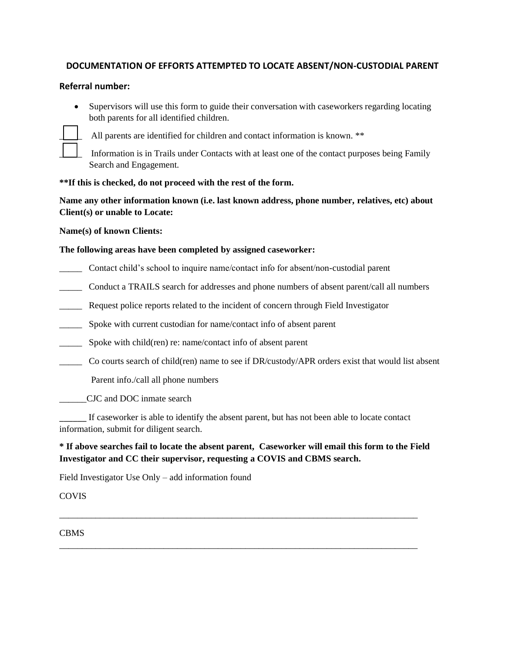# **DOCUMENTATION OF EFFORTS ATTEMPTED TO LOCATE ABSENT/NON-CUSTODIAL PARENT**

## **Referral number:**

• Supervisors will use this form to guide their conversation with caseworkers regarding locating both parents for all identified children.



All parents are identified for children and contact information is known. \*\*

Information is in Trails under Contacts with at least one of the contact purposes being Family Search and Engagement.

### **\*\*If this is checked, do not proceed with the rest of the form.**

**Name any other information known (i.e. last known address, phone number, relatives, etc) about Client(s) or unable to Locate:** 

#### **Name(s) of known Clients:**

### **The following areas have been completed by assigned caseworker:**

- \_\_\_\_\_ Contact child's school to inquire name/contact info for absent/non-custodial parent
- \_\_\_\_\_ Conduct a TRAILS search for addresses and phone numbers of absent parent/call all numbers
- Request police reports related to the incident of concern through Field Investigator
- \_\_\_\_\_ Spoke with current custodian for name/contact info of absent parent
- \_\_\_\_\_ Spoke with child(ren) re: name/contact info of absent parent
- \_\_\_\_\_ Co courts search of child(ren) name to see if DR/custody/APR orders exist that would list absent

Parent info./call all phone numbers

\_\_\_\_\_\_CJC and DOC inmate search

If caseworker is able to identify the absent parent, but has not been able to locate contact information, submit for diligent search.

# **\* If above searches fail to locate the absent parent, Caseworker will email this form to the Field Investigator and CC their supervisor, requesting a COVIS and CBMS search.**

\_\_\_\_\_\_\_\_\_\_\_\_\_\_\_\_\_\_\_\_\_\_\_\_\_\_\_\_\_\_\_\_\_\_\_\_\_\_\_\_\_\_\_\_\_\_\_\_\_\_\_\_\_\_\_\_\_\_\_\_\_\_\_\_\_\_\_\_\_\_\_\_\_\_\_\_\_\_\_

\_\_\_\_\_\_\_\_\_\_\_\_\_\_\_\_\_\_\_\_\_\_\_\_\_\_\_\_\_\_\_\_\_\_\_\_\_\_\_\_\_\_\_\_\_\_\_\_\_\_\_\_\_\_\_\_\_\_\_\_\_\_\_\_\_\_\_\_\_\_\_\_\_\_\_\_\_\_\_

Field Investigator Use Only – add information found

**COVIS** 

CBMS